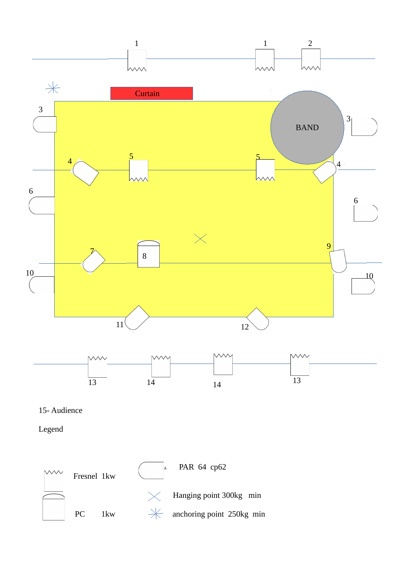